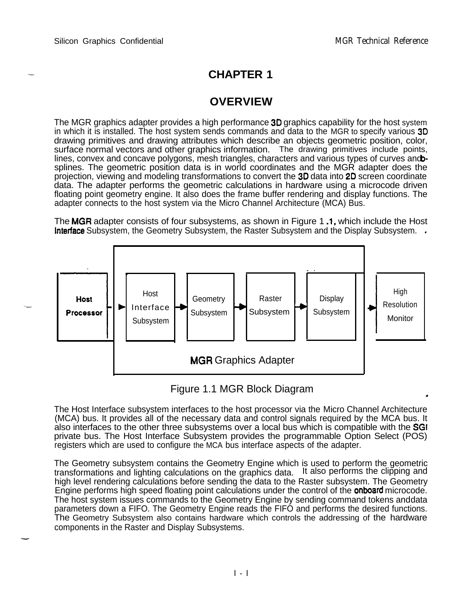--

-

## **CHAPTER 1**

## **OVERVIEW**

The MGR graphics adapter provides a high performance **3D** graphics capability for the host system in which it is installed. The host system sends commands and data to the MGR to specify various 30 drawing primitives and drawing attributes which describe an objects geometric position, color, surface normal vectors and other graphics information. The drawing primitives include points, lines, convex and concave polygons, mesh triangles, characters and various types of curves and bsplines. The geometric position data is in world coordinates and the MGR adapter does the projection, viewing and modeling transformations to convert the 30 data into 20 screen coordinate data. The adapter performs the geometric calculations in hardware using a microcode driven floating point geometry engine. It also does the frame buffer rendering and display functions. The adapter connects to the host system via the Micro Channel Architecture (MCA) Bus.

The MGR adapter consists of four subsystems, as shown in Figure 1.1, which include the Host **Interface** Subsystem, the Geometry Subsystem, the Raster Subsystem and the Display Subsystem. .



## Figure 1.1 MGR Block Diagram .

The Host Interface subsystem interfaces to the host processor via the Micro Channel Architecture (MCA) bus. It provides all of the necessary data and control signals required by the MCA bus. It also interfaces to the other three subsystems over a local bus which is compatible with the SGI private bus. The Host Interface Subsystem provides the programmable Option Select (POS) registers which are used to configure the MCA bus interface aspects of the adapter.

The Geometry subsystem contains the Geometry Engine which is used to perform the geometric transformations and lighting calculations on the graphics data. It also performs the clipping and high level rendering calculations before sending the data to the Raster subsystem. The Geometry Engine performs high speed floating point calculations under the control of the **onboard** microcode. The host system issues commands to the Geometry Engine by sending command tokens and data parameters down a FIFO. The Geometry Engine reads the FIFO and performs the desired functions. The Geometry Subsystem also contains hardware which controls the addressing of the hardware components in the Raster and Display Subsystems.